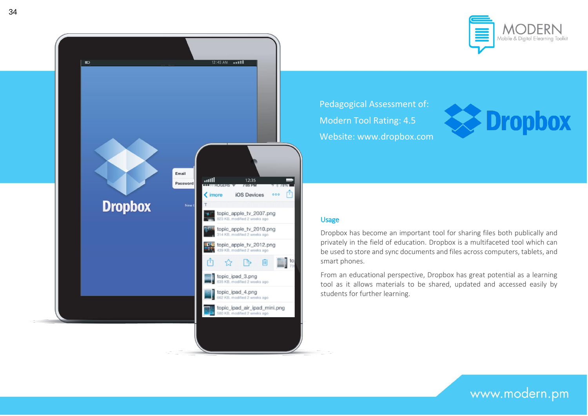



Pedagogical Assessment of: Modern Tool Rating: 4.5 Website: www.dropbox.com



# Usage

Dropbox has become an important tool for sharing files both publically and privately in the field of education. Dropbox is a multifaceted tool which can be used to store and sync documents and files across computers, tablets, and smart phones.

From an educational perspective, Dropbox has great potential as a learning tool as it allows materials to be shared, updated and accessed easily by students for further learning.

www.modern.pm